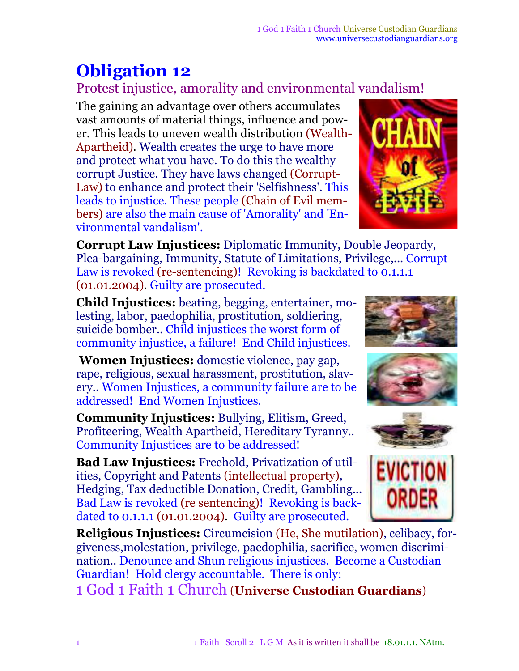## **Obligation 12**

## Protest injustice, amorality and environmental vandalism!

The gaining an advantage over others accumulates vast amounts of material things, influence and power. This leads to uneven wealth distribution (Wealth-Apartheid). Wealth creates the urge to have more and protect what you have. To do this the wealthy corrupt Justice. They have laws changed (Corrupt-Law) to enhance and protect their 'Selfishness'. This leads to injustice. These people (Chain of Evil members) are also the main cause of 'Amorality' and 'Environmental vandalism'.

**Corrupt Law Injustices:** Diplomatic Immunity, Double Jeopardy, Plea-bargaining, Immunity, Statute of Limitations, Privilege,... Corrupt Law is revoked (re-sentencing)! Revoking is backdated to 0.1.1.1 (01.01.2004)*.* Guilty are prosecuted.

**Child Injustices:** beating, begging, entertainer, molesting, labor, paedophilia, prostitution, soldiering, suicide bomber.. Child injustices the worst form of community injustice, a failure! End Child injustices.

**Women Injustices:** domestic violence, pay gap, rape, religious, sexual harassment, prostitution, slavery.. Women Injustices, a community failure are to be addressed! End Women Injustices.

**Community Injustices:** Bullying, Elitism, Greed, Profiteering, Wealth Apartheid, Hereditary Tyranny.. Community Injustices are to be addressed!

**Bad Law Injustices:** Freehold, Privatization of utilities, Copyright and Patents (intellectual property), Hedging, Tax deductible Donation, Credit, Gambling... Bad Law is revoked (re sentencing)! Revoking is backdated to 0.1.1.1 (01.01.2004)*.* Guilty are prosecuted.

**Religious Injustices:** Circumcision (He, She mutilation), celibacy, forgiveness,molestation, privilege, paedophilia, sacrifice, women discrimination.. Denounce and Shun religious injustices. Become a Custodian Guardian! Hold clergy accountable. There is only:

1 God 1 Faith 1 Church (**Universe Custodian Guardians**)





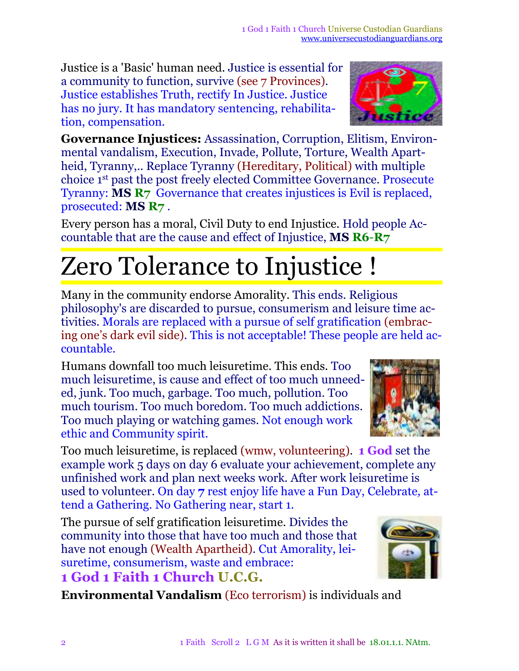Justice is a 'Basic' human need. Justice is essential for a community to function, survive (see 7 Provinces). Justice establishes Truth, rectify In Justice. Justice has no jury. It has mandatory sentencing, rehabilitation, compensation.

**Governance Injustices:** Assassination, Corruption, Elitism, Environmental vandalism, Execution, Invade, Pollute, Torture, Wealth Apartheid, Tyranny,.. Replace Tyranny (Hereditary, Political) with multiple choice 1 st past the post freely elected Committee Governance. Prosecute Tyranny: **MS R7** Governance that creates injustices is Evil is replaced, prosecuted: **MS R7** .

Every person has a moral, Civil Duty to end Injustice. Hold people Accountable that are the cause and effect of Injustice, **MS R6**-**R7**

## Zero Tolerance to Injustice !

Many in the community endorse Amorality. This ends. Religious philosophy's are discarded to pursue, consumerism and leisure time activities. Morals are replaced with a pursue of self gratification (embracing one's dark evil side). This is not acceptable! These people are held accountable.

Humans downfall too much leisuretime. This ends. Too much leisuretime, is cause and effect of too much unneeded, junk. Too much, garbage. Too much, pollution. Too much tourism. Too much boredom. Too much addictions. Too much playing or watching games. Not enough work ethic and Community spirit.

Too much leisuretime, is replaced (wmw, volunteering). **1 God** set the example work 5 days on day 6 evaluate your achievement, complete any unfinished work and plan next weeks work. After work leisuretime is used to volunteer. On day **7** rest enjoy life have a Fun Day, Celebrate*,* attend a Gathering. No Gathering near, start 1.

The pursue of self gratification leisuretime. Divides the community into those that have too much and those that have not enough (Wealth Apartheid). Cut Amorality, leisuretime, consumerism, waste and embrace: **1 God 1 Faith 1 Church U.C.G.**

**Environmental Vandalism** (Eco terrorism) is individuals and